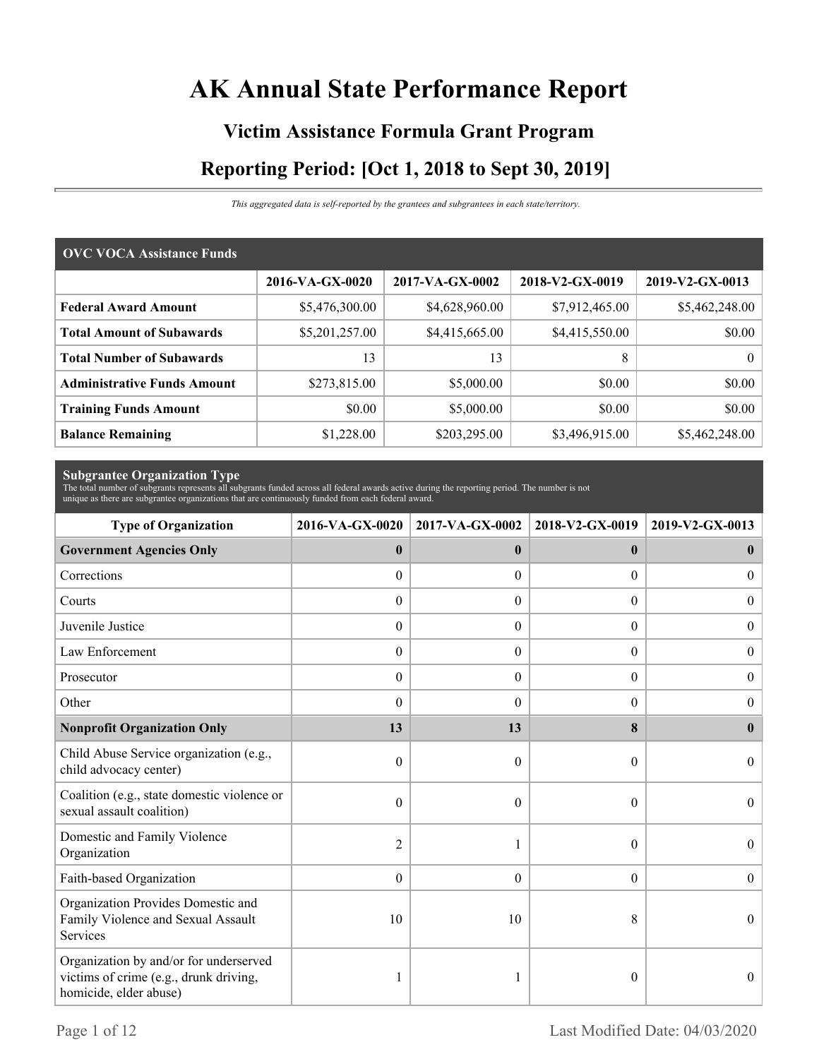# **AK Annual State Performance Report**

# **Victim Assistance Formula Grant Program Reporting Period: [Oct 1, 2018 to Sept 30, 2019]**

*This aggregated data is self-reported by the grantees and subgrantees in each state/territory.*

| <b>OVC VOCA Assistance Funds</b>   |                 |                 |                 |                 |  |  |  |
|------------------------------------|-----------------|-----------------|-----------------|-----------------|--|--|--|
|                                    | 2016-VA-GX-0020 | 2017-VA-GX-0002 | 2018-V2-GX-0019 | 2019-V2-GX-0013 |  |  |  |
| <b>Federal Award Amount</b>        | \$5,476,300.00  | \$4,628,960.00  | \$7,912,465.00  | \$5,462,248.00  |  |  |  |
| <b>Total Amount of Subawards</b>   | \$5,201,257.00  | \$4,415,665.00  | \$4,415,550.00  | \$0.00          |  |  |  |
| <b>Total Number of Subawards</b>   | 13              | 13              | 8               | $\theta$        |  |  |  |
| <b>Administrative Funds Amount</b> | \$273,815.00    | \$5,000.00      | \$0.00          | \$0.00          |  |  |  |
| <b>Training Funds Amount</b>       | \$0.00          | \$5,000.00      | \$0.00          | \$0.00          |  |  |  |
| <b>Balance Remaining</b>           | \$1,228.00      | \$203,295.00    | \$3,496,915.00  | \$5,462,248.00  |  |  |  |

**Subgrantee Organization Type** The total number of subgrants represents all subgrants funded across all federal awards active during the reporting period. The number is not unique as there are subgrantee organizations that are continuously funded from each federal award.

| <b>Type of Organization</b>                                                                                | 2016-VA-GX-0020  | 2017-VA-GX-0002  | 2018-V2-GX-0019  | 2019-V2-GX-0013  |
|------------------------------------------------------------------------------------------------------------|------------------|------------------|------------------|------------------|
| <b>Government Agencies Only</b>                                                                            | $\bf{0}$         | $\mathbf{0}$     | $\mathbf{0}$     | $\bf{0}$         |
| Corrections                                                                                                | $\boldsymbol{0}$ | $\Omega$         | $\Omega$         | $\overline{0}$   |
| Courts                                                                                                     | $\boldsymbol{0}$ | $\theta$         | $\Omega$         | $\theta$         |
| Juvenile Justice                                                                                           | $\boldsymbol{0}$ | $\boldsymbol{0}$ | $\boldsymbol{0}$ | $\boldsymbol{0}$ |
| Law Enforcement                                                                                            | $\boldsymbol{0}$ | $\boldsymbol{0}$ | $\boldsymbol{0}$ | $\boldsymbol{0}$ |
| Prosecutor                                                                                                 | $\theta$         | $\theta$         | $\Omega$         | $\overline{0}$   |
| Other                                                                                                      | $\theta$         | $\Omega$         | $\theta$         | $\theta$         |
| <b>Nonprofit Organization Only</b>                                                                         | 13               | 13               | 8                | $\mathbf{0}$     |
| Child Abuse Service organization (e.g.,<br>child advocacy center)                                          | $\mathbf{0}$     | $\theta$         | $\theta$         | $\Omega$         |
| Coalition (e.g., state domestic violence or<br>sexual assault coalition)                                   | 0                | $\theta$         | $\theta$         | $\theta$         |
| Domestic and Family Violence<br>Organization                                                               | 2                |                  | $\theta$         | $\Omega$         |
| Faith-based Organization                                                                                   | $\mathbf{0}$     | $\theta$         | $\overline{0}$   | $\theta$         |
| Organization Provides Domestic and<br>Family Violence and Sexual Assault<br>Services                       | 10               | 10               | 8                | $\theta$         |
| Organization by and/or for underserved<br>victims of crime (e.g., drunk driving,<br>homicide, elder abuse) |                  |                  | 0                | $\theta$         |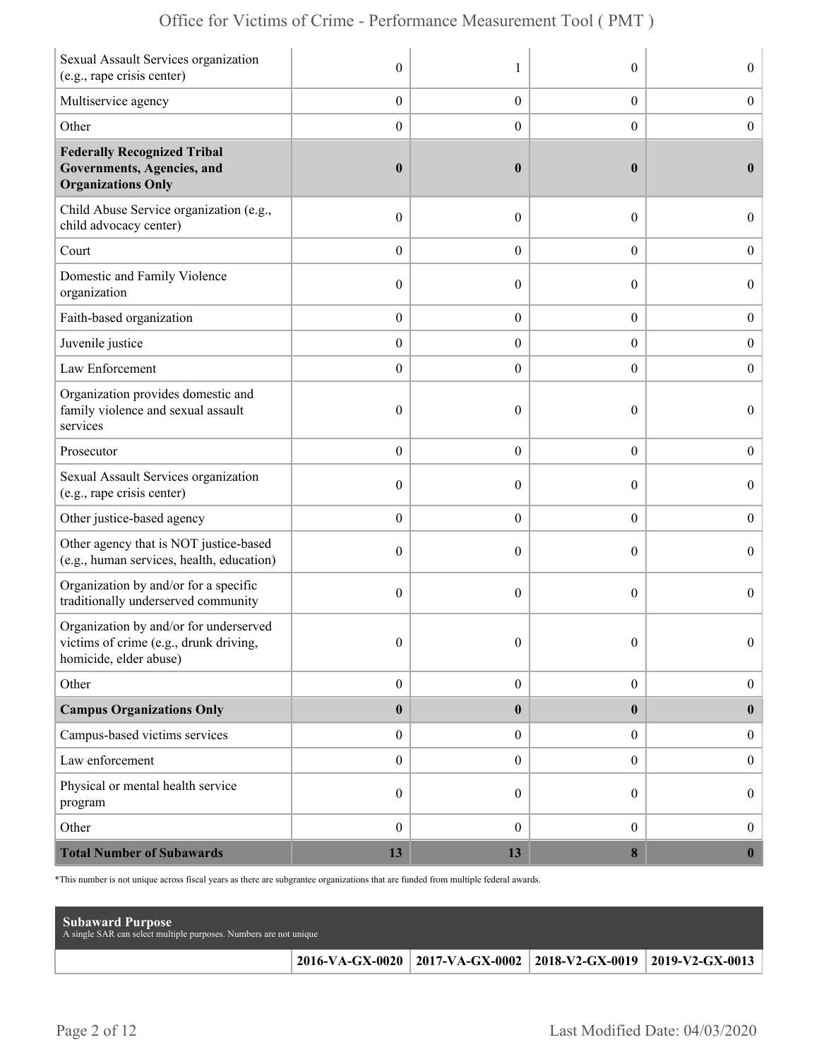| Sexual Assault Services organization<br>(e.g., rape crisis center)                                        | $\mathbf{0}$     | 1                | $\theta$         | $\overline{0}$   |
|-----------------------------------------------------------------------------------------------------------|------------------|------------------|------------------|------------------|
| Multiservice agency                                                                                       | $\boldsymbol{0}$ | $\boldsymbol{0}$ | $\boldsymbol{0}$ | $\boldsymbol{0}$ |
| Other                                                                                                     | $\boldsymbol{0}$ | $\overline{0}$   | $\boldsymbol{0}$ | $\boldsymbol{0}$ |
| <b>Federally Recognized Tribal</b><br>Governments, Agencies, and<br><b>Organizations Only</b>             | $\boldsymbol{0}$ | $\bf{0}$         | $\bf{0}$         | $\bf{0}$         |
| Child Abuse Service organization (e.g.,<br>child advocacy center)                                         | $\boldsymbol{0}$ | $\theta$         | $\boldsymbol{0}$ | $\overline{0}$   |
| Court                                                                                                     | $\boldsymbol{0}$ | $\overline{0}$   | $\overline{0}$   | $\boldsymbol{0}$ |
| Domestic and Family Violence<br>organization                                                              | $\boldsymbol{0}$ | $\theta$         | $\theta$         | $\boldsymbol{0}$ |
| Faith-based organization                                                                                  | $\boldsymbol{0}$ | $\boldsymbol{0}$ | $\boldsymbol{0}$ | $\boldsymbol{0}$ |
| Juvenile justice                                                                                          | $\boldsymbol{0}$ | $\overline{0}$   | $\boldsymbol{0}$ | $\boldsymbol{0}$ |
| Law Enforcement                                                                                           | $\boldsymbol{0}$ | $\theta$         | $\overline{0}$   | $\mathbf{0}$     |
| Organization provides domestic and<br>family violence and sexual assault<br>services                      | $\boldsymbol{0}$ | $\mathbf{0}$     | $\theta$         | $\overline{0}$   |
| Prosecutor                                                                                                | $\boldsymbol{0}$ | $\overline{0}$   | $\overline{0}$   | $\boldsymbol{0}$ |
| Sexual Assault Services organization<br>(e.g., rape crisis center)                                        | $\mathbf{0}$     | $\theta$         | $\theta$         | $\overline{0}$   |
| Other justice-based agency                                                                                | $\boldsymbol{0}$ | $\overline{0}$   | $\boldsymbol{0}$ | $\boldsymbol{0}$ |
| Other agency that is NOT justice-based<br>(e.g., human services, health, education)                       | $\boldsymbol{0}$ | $\overline{0}$   | $\theta$         | $\boldsymbol{0}$ |
| Organization by and/or for a specific<br>traditionally underserved community                              | $\boldsymbol{0}$ | $\theta$         | $\theta$         | $\overline{0}$   |
| Organization by and/or for underserved<br>victims of crime (e.g., drunk driving<br>homicide, elder abuse) | $\mathbf{0}$     | $\mathbf{0}$     | $\theta$         | $\overline{0}$   |
| Other                                                                                                     | $\boldsymbol{0}$ | $\boldsymbol{0}$ | $\boldsymbol{0}$ | $\boldsymbol{0}$ |
| <b>Campus Organizations Only</b>                                                                          | $\pmb{0}$        | $\bf{0}$         | $\bf{0}$         | $\bf{0}$         |
| Campus-based victims services                                                                             | $\boldsymbol{0}$ | $\overline{0}$   | $\overline{0}$   | $\boldsymbol{0}$ |
| Law enforcement                                                                                           | $\boldsymbol{0}$ | $\boldsymbol{0}$ | $\boldsymbol{0}$ | $\boldsymbol{0}$ |
| Physical or mental health service<br>program                                                              | $\boldsymbol{0}$ | $\overline{0}$   | $\overline{0}$   | $\boldsymbol{0}$ |
| Other                                                                                                     | $\boldsymbol{0}$ | $\mathbf{0}$     | $\overline{0}$   | $\boldsymbol{0}$ |
| <b>Total Number of Subawards</b>                                                                          | 13               | 13               | $\bf{8}$         | $\boldsymbol{0}$ |

\*This number is not unique across fiscal years as there are subgrantee organizations that are funded from multiple federal awards.

| <b>Subaward Purpose</b><br>A single SAR can select multiple purposes. Numbers are not unique |                                                                       |  |
|----------------------------------------------------------------------------------------------|-----------------------------------------------------------------------|--|
|                                                                                              | 2016-VA-GX-0020   2017-VA-GX-0002   2018-V2-GX-0019   2019-V2-GX-0013 |  |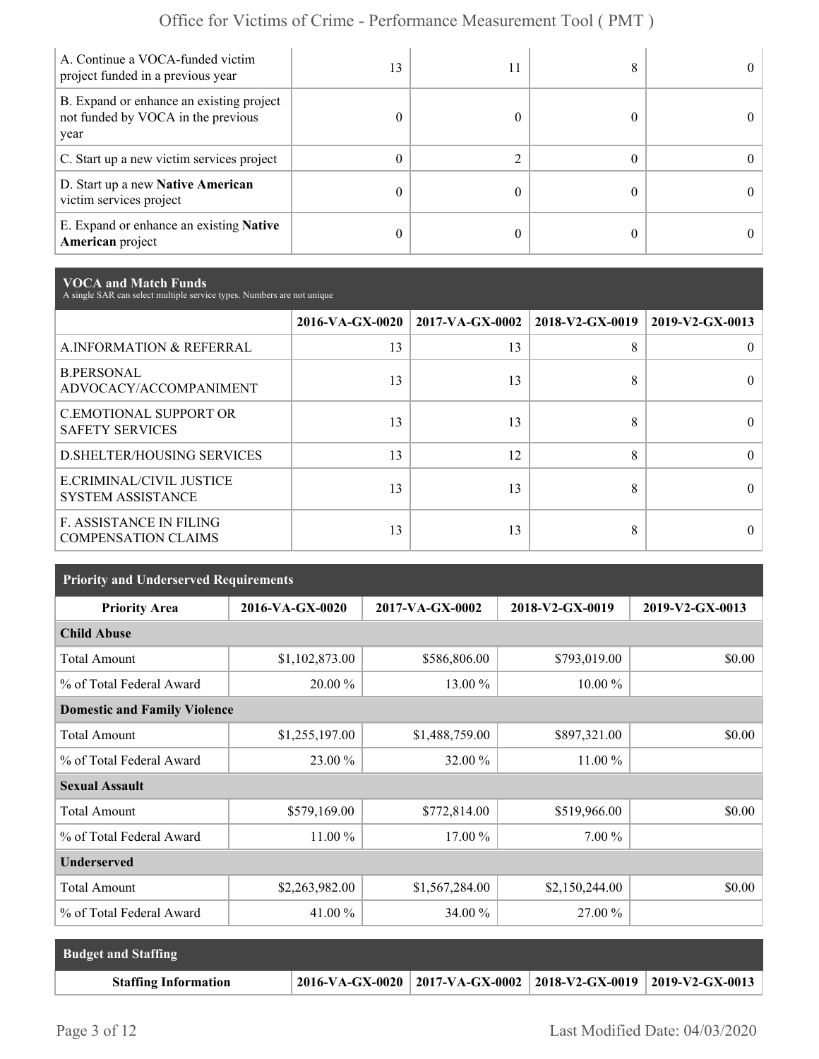| A. Continue a VOCA-funded victim<br>project funded in a previous year                  | 13 |  |  |
|----------------------------------------------------------------------------------------|----|--|--|
| B. Expand or enhance an existing project<br>not funded by VOCA in the previous<br>year | 0  |  |  |
| C. Start up a new victim services project                                              | 0  |  |  |
| D. Start up a new Native American<br>victim services project                           | 0  |  |  |
| E. Expand or enhance an existing <b>Native</b><br>American project                     | 0  |  |  |

**VOCA and Match Funds** A single SAR can select multiple service types. Numbers are not unique

|                                                              | 2016-VA-GX-0020 | $2017-VA-GX-0002$ | 2018-V2-GX-0019 | 2019-V2-GX-0013 |
|--------------------------------------------------------------|-----------------|-------------------|-----------------|-----------------|
| A.INFORMATION & REFERRAL                                     | 13              | 13                | 8               |                 |
| <b>B.PERSONAL</b><br>ADVOCACY/ACCOMPANIMENT                  | 13              | 13                | 8               |                 |
| <b>C.EMOTIONAL SUPPORT OR</b><br><b>SAFETY SERVICES</b>      | 13              | 13                | 8               |                 |
| <b>D.SHELTER/HOUSING SERVICES</b>                            | 13              | 12                | 8               |                 |
| E.CRIMINAL/CIVIL JUSTICE<br><b>SYSTEM ASSISTANCE</b>         | 13              | 13                | 8               |                 |
| <b>F. ASSISTANCE IN FILING</b><br><b>COMPENSATION CLAIMS</b> | 13              | 13                | 8               |                 |

| <b>Priority and Underserved Requirements</b> |                 |                 |                 |                 |  |  |
|----------------------------------------------|-----------------|-----------------|-----------------|-----------------|--|--|
| <b>Priority Area</b>                         | 2016-VA-GX-0020 | 2017-VA-GX-0002 | 2018-V2-GX-0019 | 2019-V2-GX-0013 |  |  |
| <b>Child Abuse</b>                           |                 |                 |                 |                 |  |  |
| <b>Total Amount</b>                          | \$1,102,873.00  | \$586,806.00    | \$793,019.00    | \$0.00          |  |  |
| % of Total Federal Award                     | 20.00 %         | 13.00 %         | $10.00\%$       |                 |  |  |
| <b>Domestic and Family Violence</b>          |                 |                 |                 |                 |  |  |
| <b>Total Amount</b>                          | \$1,255,197.00  | \$1,488,759.00  | \$897,321.00    | \$0.00          |  |  |
| % of Total Federal Award                     | 23.00 %         | 32.00 %         | 11.00 %         |                 |  |  |
| <b>Sexual Assault</b>                        |                 |                 |                 |                 |  |  |
| <b>Total Amount</b>                          | \$579,169.00    | \$772,814.00    | \$519,966.00    | \$0.00          |  |  |
| % of Total Federal Award                     | 11.00 %         | 17.00 %         | $7.00\%$        |                 |  |  |
| <b>Underserved</b>                           |                 |                 |                 |                 |  |  |
| <b>Total Amount</b>                          | \$2,263,982.00  | \$1,567,284.00  | \$2,150,244.00  | \$0.00          |  |  |
| % of Total Federal Award                     | 41.00 %         | 34.00 %         | 27.00 %         |                 |  |  |

| <b>Budget and Staffing</b>  |                                                                          |  |
|-----------------------------|--------------------------------------------------------------------------|--|
| <b>Staffing Information</b> | $2016$ -VA-GX-0020   2017-VA-GX-0002   2018-V2-GX-0019   2019-V2-GX-0013 |  |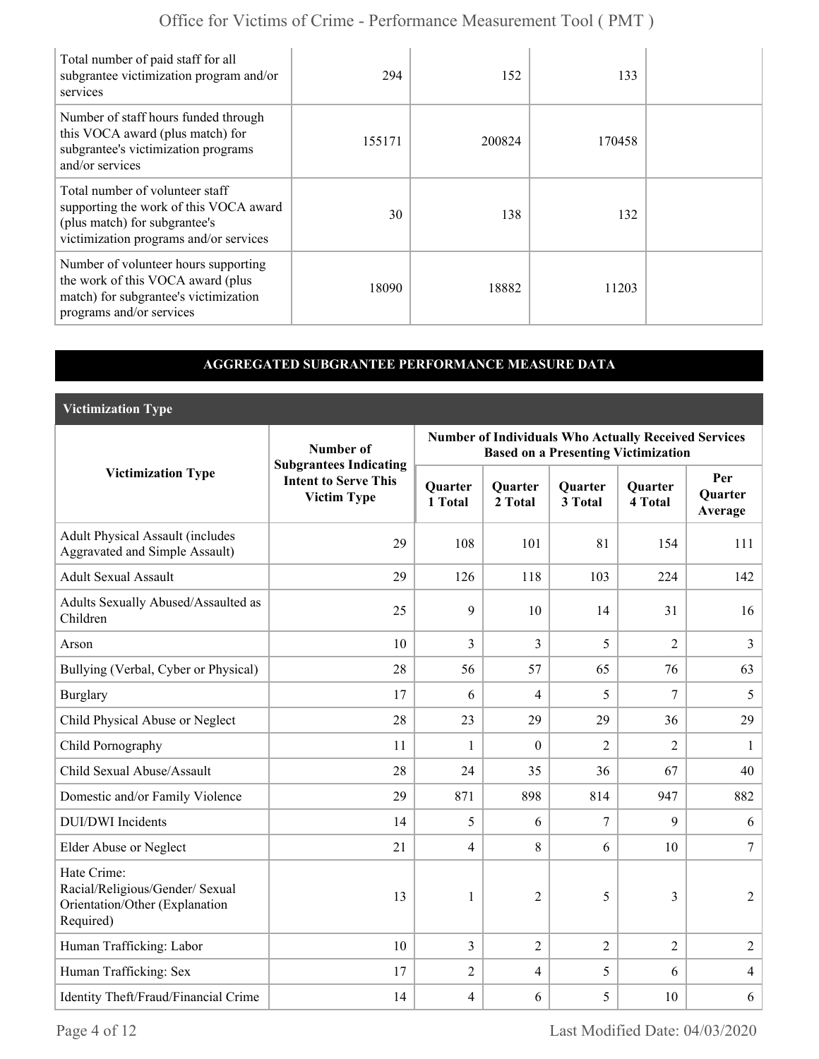| Total number of paid staff for all<br>subgrantee victimization program and/or<br>services                                                            | 294    | 152    | 133    |  |
|------------------------------------------------------------------------------------------------------------------------------------------------------|--------|--------|--------|--|
| Number of staff hours funded through<br>this VOCA award (plus match) for<br>subgrantee's victimization programs<br>and/or services                   | 155171 | 200824 | 170458 |  |
| Total number of volunteer staff<br>supporting the work of this VOCA award<br>(plus match) for subgrantee's<br>victimization programs and/or services | 30     | 138    | 132    |  |
| Number of volunteer hours supporting<br>the work of this VOCA award (plus<br>match) for subgrantee's victimization<br>programs and/or services       | 18090  | 18882  | 11203  |  |

### **AGGREGATED SUBGRANTEE PERFORMANCE MEASURE DATA**

**Victimization Type**

|                                                                                               | Number of                                                                          | <b>Number of Individuals Who Actually Received Services</b><br><b>Based on a Presenting Victimization</b> |                    |                    |                           |                                  |  |
|-----------------------------------------------------------------------------------------------|------------------------------------------------------------------------------------|-----------------------------------------------------------------------------------------------------------|--------------------|--------------------|---------------------------|----------------------------------|--|
| <b>Victimization Type</b>                                                                     | <b>Subgrantees Indicating</b><br><b>Intent to Serve This</b><br><b>Victim Type</b> | Quarter<br>1 Total                                                                                        | Quarter<br>2 Total | Quarter<br>3 Total | <b>Quarter</b><br>4 Total | Per<br><b>Quarter</b><br>Average |  |
| <b>Adult Physical Assault (includes</b><br>Aggravated and Simple Assault)                     | 29                                                                                 | 108                                                                                                       | 101                | 81                 | 154                       | 111                              |  |
| <b>Adult Sexual Assault</b>                                                                   | 29                                                                                 | 126                                                                                                       | 118                | 103                | 224                       | 142                              |  |
| Adults Sexually Abused/Assaulted as<br>Children                                               | 25                                                                                 | 9                                                                                                         | 10                 | 14                 | 31                        | 16                               |  |
| Arson                                                                                         | 10                                                                                 | 3                                                                                                         | 3                  | 5                  | $\overline{2}$            | 3                                |  |
| Bullying (Verbal, Cyber or Physical)                                                          | 28                                                                                 | 56                                                                                                        | 57                 | 65                 | 76                        | 63                               |  |
| <b>Burglary</b>                                                                               | 17                                                                                 | 6                                                                                                         | 4                  | 5                  | 7                         | 5                                |  |
| Child Physical Abuse or Neglect                                                               | 28                                                                                 | 23                                                                                                        | 29                 | 29                 | 36                        | 29                               |  |
| Child Pornography                                                                             | 11                                                                                 | 1                                                                                                         | $\mathbf{0}$       | $\overline{2}$     | $\overline{2}$            | 1                                |  |
| Child Sexual Abuse/Assault                                                                    | 28                                                                                 | 24                                                                                                        | 35                 | 36                 | 67                        | 40                               |  |
| Domestic and/or Family Violence                                                               | 29                                                                                 | 871                                                                                                       | 898                | 814                | 947                       | 882                              |  |
| <b>DUI/DWI</b> Incidents                                                                      | 14                                                                                 | 5                                                                                                         | 6                  | $\overline{7}$     | 9                         | 6                                |  |
| Elder Abuse or Neglect                                                                        | 21                                                                                 | $\overline{4}$                                                                                            | 8                  | 6                  | 10                        | $\overline{7}$                   |  |
| Hate Crime:<br>Racial/Religious/Gender/ Sexual<br>Orientation/Other (Explanation<br>Required) | 13                                                                                 | 1                                                                                                         | $\overline{2}$     | 5                  | 3                         | $\overline{2}$                   |  |
| Human Trafficking: Labor                                                                      | 10                                                                                 | $\overline{3}$                                                                                            | $\overline{2}$     | $\overline{2}$     | $\overline{2}$            | $\overline{2}$                   |  |
| Human Trafficking: Sex                                                                        | 17                                                                                 | $\overline{2}$                                                                                            | $\overline{4}$     | 5                  | 6                         | $\overline{4}$                   |  |
| Identity Theft/Fraud/Financial Crime                                                          | 14                                                                                 | $\overline{4}$                                                                                            | 6                  | 5                  | 10                        | 6                                |  |

Page 4 of 12 Last Modified Date: 04/03/2020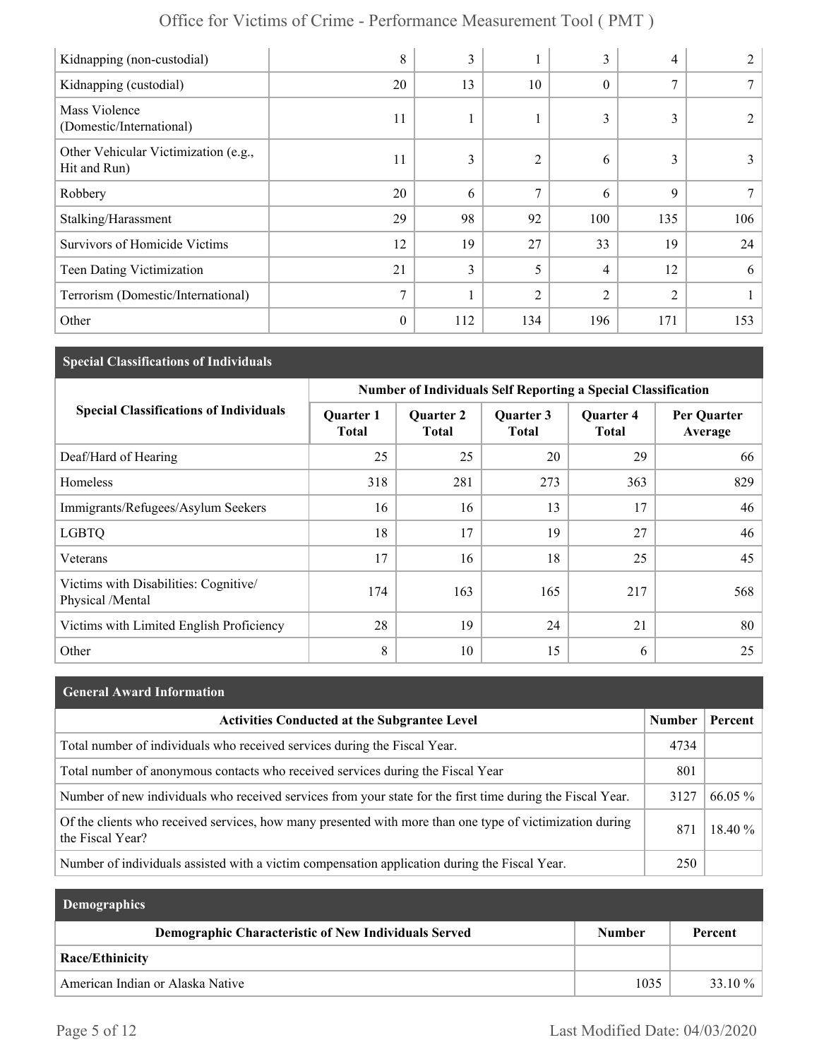| Kidnapping (non-custodial)                           | 8            | 3   |                | 3                | 4              |     |
|------------------------------------------------------|--------------|-----|----------------|------------------|----------------|-----|
| Kidnapping (custodial)                               | 20           | 13  | 10             | $\boldsymbol{0}$ | 7              | 7   |
| Mass Violence<br>(Domestic/International)            | 11           |     |                | 3                | 3              | 2   |
| Other Vehicular Victimization (e.g.,<br>Hit and Run) | 11           | 3   | $\overline{c}$ | 6                | 3              | 3   |
| Robbery                                              | 20           | 6   | 7              | 6                | 9              | 7   |
| Stalking/Harassment                                  | 29           | 98  | 92             | 100              | 135            | 106 |
| Survivors of Homicide Victims                        | 12           | 19  | 27             | 33               | 19             | 24  |
| Teen Dating Victimization                            | 21           | 3   | 5              | 4                | 12             | 6   |
| Terrorism (Domestic/International)                   | 7            | 1   | $\overline{2}$ | $\overline{2}$   | $\overline{2}$ |     |
| Other                                                | $\mathbf{0}$ | 112 | 134            | 196              | 171            | 153 |

### **Special Classifications of Individuals**

|                                                           | <b>Number of Individuals Self Reporting a Special Classification</b> |                                  |                    |                                  |                        |  |
|-----------------------------------------------------------|----------------------------------------------------------------------|----------------------------------|--------------------|----------------------------------|------------------------|--|
| <b>Special Classifications of Individuals</b>             | <b>Quarter 1</b><br>Total                                            | <b>Quarter 2</b><br><b>Total</b> | Quarter 3<br>Total | <b>Quarter 4</b><br><b>Total</b> | Per Quarter<br>Average |  |
| Deaf/Hard of Hearing                                      | 25                                                                   | 25                               | 20                 | 29                               | 66                     |  |
| Homeless                                                  | 318                                                                  | 281                              | 273                | 363                              | 829                    |  |
| Immigrants/Refugees/Asylum Seekers                        | 16                                                                   | 16                               | 13                 | 17                               | 46                     |  |
| <b>LGBTQ</b>                                              | 18                                                                   | 17                               | 19                 | 27                               | 46                     |  |
| Veterans                                                  | 17                                                                   | 16                               | 18                 | 25                               | 45                     |  |
| Victims with Disabilities: Cognitive/<br>Physical /Mental | 174                                                                  | 163                              | 165                | 217                              | 568                    |  |
| Victims with Limited English Proficiency                  | 28                                                                   | 19                               | 24                 | 21                               | 80                     |  |
| Other                                                     | 8                                                                    | 10                               | 15                 | 6                                | 25                     |  |

| <b>General Award Information</b>                                                                                             |               |         |
|------------------------------------------------------------------------------------------------------------------------------|---------------|---------|
| <b>Activities Conducted at the Subgrantee Level</b>                                                                          | <b>Number</b> | Percent |
| Total number of individuals who received services during the Fiscal Year.                                                    | 4734          |         |
| Total number of anonymous contacts who received services during the Fiscal Year                                              | 801           |         |
| Number of new individuals who received services from your state for the first time during the Fiscal Year.                   | 3127          | 66.05 % |
| Of the clients who received services, how many presented with more than one type of victimization during<br>the Fiscal Year? | 871           | 18.40 % |
| Number of individuals assisted with a victim compensation application during the Fiscal Year.                                | 250           |         |

| <b>Demographics</b>                                  |               |           |
|------------------------------------------------------|---------------|-----------|
| Demographic Characteristic of New Individuals Served | <b>Number</b> | Percent   |
| <b>Race/Ethinicity</b>                               |               |           |
| American Indian or Alaska Native                     | 1035          | $33.10\%$ |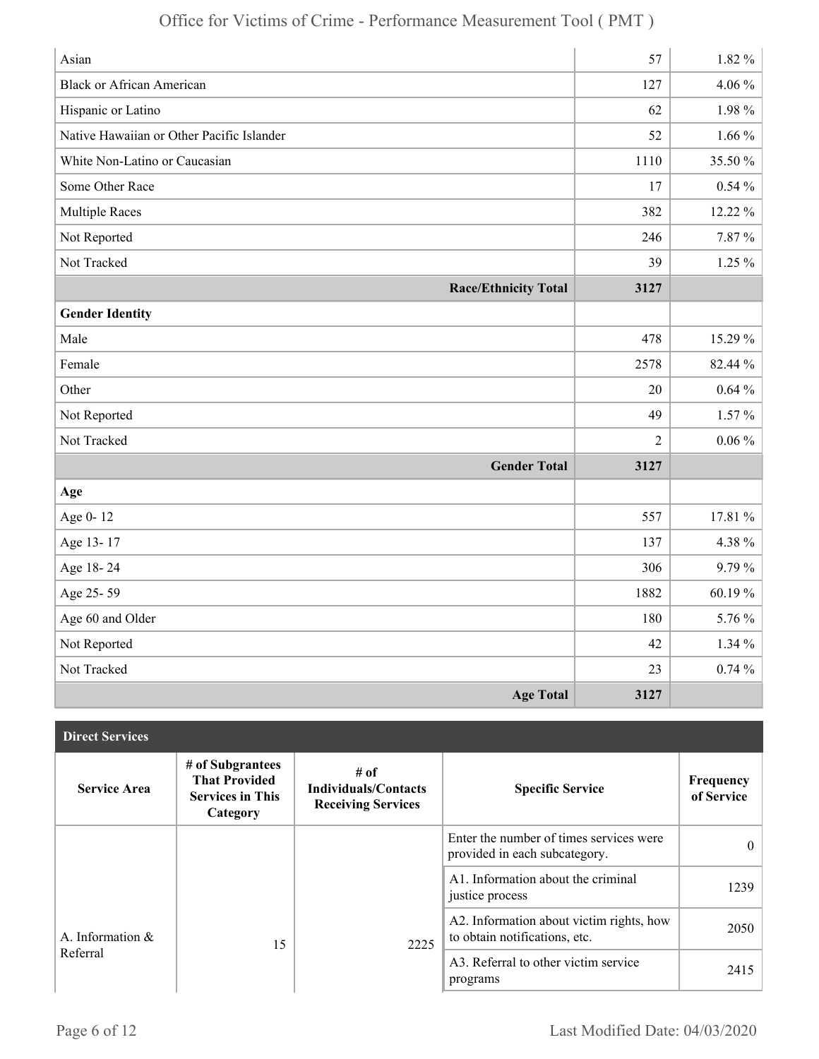| Asian                                     | 57             | $1.82\%$    |
|-------------------------------------------|----------------|-------------|
| <b>Black or African American</b>          | 127            | $4.06\%$    |
| Hispanic or Latino                        | 62             | 1.98%       |
| Native Hawaiian or Other Pacific Islander | 52             | $1.66\%$    |
| White Non-Latino or Caucasian             | 1110           | 35.50 %     |
| Some Other Race                           | 17             | $0.54\%$    |
| <b>Multiple Races</b>                     | 382            | 12.22 %     |
| Not Reported                              | 246            | 7.87%       |
| Not Tracked                               | 39             | $1.25 \%$   |
| <b>Race/Ethnicity Total</b>               | 3127           |             |
| <b>Gender Identity</b>                    |                |             |
| Male                                      | 478            | 15.29 %     |
| Female                                    | 2578           | 82.44 %     |
| Other                                     | 20             | $0.64\%$    |
| Not Reported                              | 49             | $1.57\%$    |
| Not Tracked                               | $\overline{2}$ | $0.06\%$    |
| <b>Gender Total</b>                       | 3127           |             |
| Age                                       |                |             |
| Age 0-12                                  | 557            | 17.81 %     |
| Age 13-17                                 | 137            | 4.38%       |
| Age 18-24                                 | 306            | 9.79%       |
| Age 25-59                                 | 1882           | $60.19\,\%$ |
| Age 60 and Older                          | 180            | 5.76 %      |
| Not Reported                              | 42             | 1.34%       |
| Not Tracked                               | 23             | $0.74\%$    |
| <b>Age Total</b>                          | 3127           |             |

| <b>Direct Services</b> |                                                                                 |                                                                  |                                                                           |                         |
|------------------------|---------------------------------------------------------------------------------|------------------------------------------------------------------|---------------------------------------------------------------------------|-------------------------|
| <b>Service Area</b>    | # of Subgrantees<br><b>That Provided</b><br><b>Services in This</b><br>Category | # of<br><b>Individuals/Contacts</b><br><b>Receiving Services</b> | <b>Specific Service</b>                                                   | Frequency<br>of Service |
|                        |                                                                                 |                                                                  | Enter the number of times services were<br>provided in each subcategory.  | $\theta$                |
|                        |                                                                                 |                                                                  | A1. Information about the criminal<br>justice process                     | 1239                    |
| A. Information &       | 15                                                                              | 2225                                                             | A2. Information about victim rights, how<br>to obtain notifications, etc. | 2050                    |
| Referral               |                                                                                 |                                                                  | A3. Referral to other victim service<br>programs                          | 2415                    |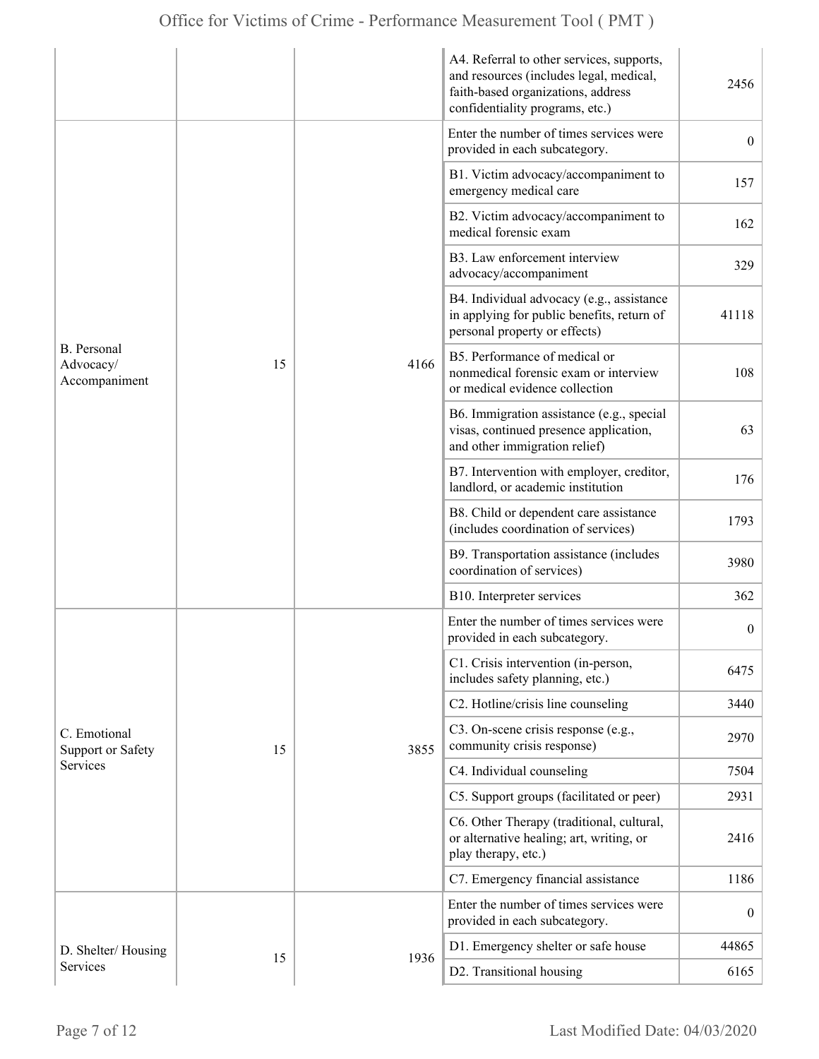|                                                  |    |      | A4. Referral to other services, supports,<br>and resources (includes legal, medical,<br>faith-based organizations, address<br>confidentiality programs, etc.) | 2456             |
|--------------------------------------------------|----|------|---------------------------------------------------------------------------------------------------------------------------------------------------------------|------------------|
| <b>B.</b> Personal<br>Advocacy/<br>Accompaniment |    | 4166 | Enter the number of times services were<br>provided in each subcategory.                                                                                      | $\overline{0}$   |
|                                                  |    |      | B1. Victim advocacy/accompaniment to<br>emergency medical care                                                                                                | 157              |
|                                                  |    |      | B2. Victim advocacy/accompaniment to<br>medical forensic exam                                                                                                 | 162              |
|                                                  |    |      | B3. Law enforcement interview<br>advocacy/accompaniment                                                                                                       | 329              |
|                                                  |    |      | B4. Individual advocacy (e.g., assistance<br>in applying for public benefits, return of<br>personal property or effects)                                      | 41118            |
|                                                  | 15 |      | B5. Performance of medical or<br>nonmedical forensic exam or interview<br>or medical evidence collection                                                      | 108              |
|                                                  |    |      | B6. Immigration assistance (e.g., special<br>visas, continued presence application,<br>and other immigration relief)                                          | 63               |
|                                                  |    |      | B7. Intervention with employer, creditor,<br>landlord, or academic institution                                                                                | 176              |
|                                                  |    |      | B8. Child or dependent care assistance<br>(includes coordination of services)                                                                                 | 1793             |
|                                                  |    |      | B9. Transportation assistance (includes<br>coordination of services)                                                                                          | 3980             |
|                                                  |    |      | B10. Interpreter services                                                                                                                                     | 362              |
|                                                  |    |      | Enter the number of times services were<br>provided in each subcategory.                                                                                      | $\boldsymbol{0}$ |
|                                                  |    |      | C1. Crisis intervention (in-person,<br>includes safety planning, etc.)                                                                                        | 6475             |
|                                                  |    | 3855 | C2. Hotline/crisis line counseling                                                                                                                            | 3440             |
| C. Emotional<br><b>Support or Safety</b>         | 15 |      | C3. On-scene crisis response (e.g.,<br>community crisis response)                                                                                             | 2970             |
| Services                                         |    |      | C4. Individual counseling                                                                                                                                     | 7504             |
|                                                  |    |      | C5. Support groups (facilitated or peer)                                                                                                                      | 2931             |
|                                                  |    |      | C6. Other Therapy (traditional, cultural,<br>or alternative healing; art, writing, or<br>play therapy, etc.)                                                  | 2416             |
|                                                  |    |      | C7. Emergency financial assistance                                                                                                                            | 1186             |
|                                                  |    |      | Enter the number of times services were<br>provided in each subcategory.                                                                                      | $\boldsymbol{0}$ |
| D. Shelter/Housing                               |    |      | D1. Emergency shelter or safe house                                                                                                                           | 44865            |
| Services                                         | 15 | 1936 | D2. Transitional housing                                                                                                                                      | 6165             |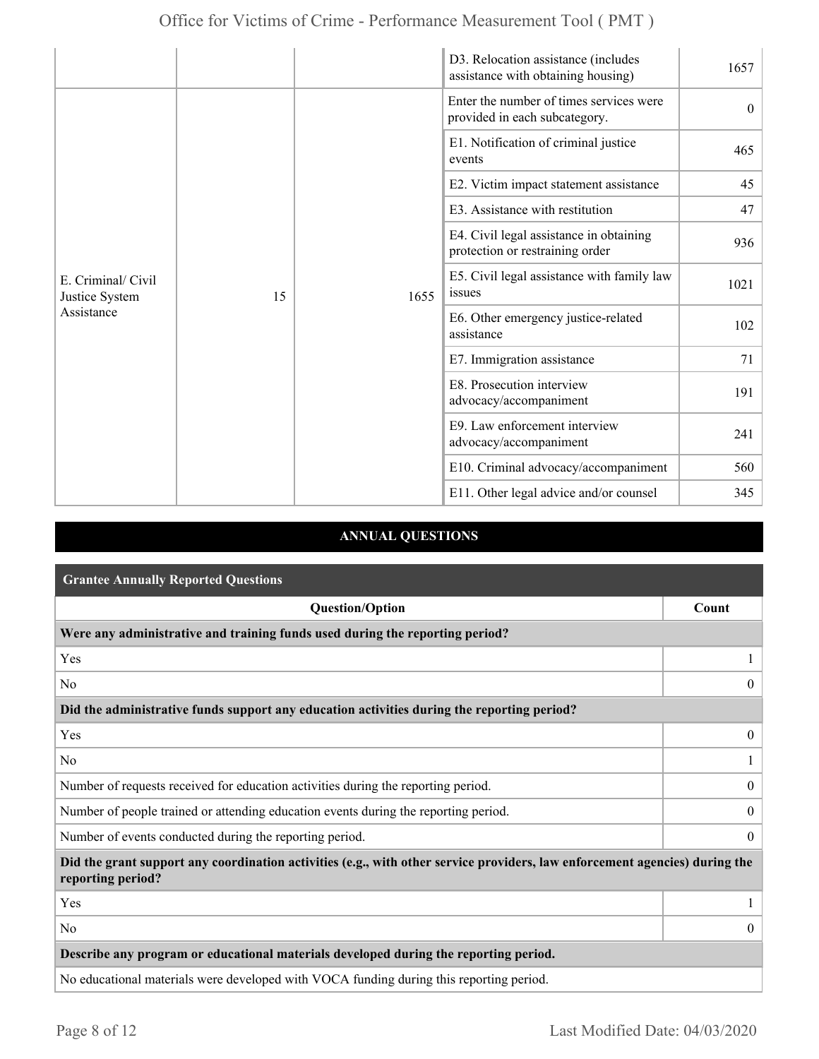|                                                    |    |                                                                                                                                                 | D3. Relocation assistance (includes<br>assistance with obtaining housing)  | 1657     |
|----------------------------------------------------|----|-------------------------------------------------------------------------------------------------------------------------------------------------|----------------------------------------------------------------------------|----------|
| E. Criminal/ Civil<br>Justice System<br>Assistance |    |                                                                                                                                                 | Enter the number of times services were<br>provided in each subcategory.   | $\theta$ |
|                                                    |    |                                                                                                                                                 | E1. Notification of criminal justice<br>events                             | 465      |
|                                                    |    |                                                                                                                                                 | E2. Victim impact statement assistance                                     | 45       |
|                                                    |    |                                                                                                                                                 | E3. Assistance with restitution                                            | 47       |
|                                                    |    |                                                                                                                                                 | E4. Civil legal assistance in obtaining<br>protection or restraining order | 936      |
|                                                    | 15 | E5. Civil legal assistance with family law<br>issues<br>1655<br>E6. Other emergency justice-related<br>assistance<br>E7. Immigration assistance |                                                                            | 1021     |
|                                                    |    |                                                                                                                                                 |                                                                            | 102      |
|                                                    |    |                                                                                                                                                 | 71                                                                         |          |
|                                                    |    |                                                                                                                                                 | E8. Prosecution interview<br>advocacy/accompaniment                        | 191      |
|                                                    |    |                                                                                                                                                 | E9. Law enforcement interview<br>advocacy/accompaniment                    | 241      |
|                                                    |    |                                                                                                                                                 | E10. Criminal advocacy/accompaniment                                       | 560      |
|                                                    |    |                                                                                                                                                 | E11. Other legal advice and/or counsel                                     | 345      |

### **ANNUAL QUESTIONS**

| <b>Grantee Annually Reported Questions</b>                                                                                                       |                  |  |  |
|--------------------------------------------------------------------------------------------------------------------------------------------------|------------------|--|--|
| <b>Question/Option</b>                                                                                                                           | Count            |  |  |
| Were any administrative and training funds used during the reporting period?                                                                     |                  |  |  |
| Yes                                                                                                                                              |                  |  |  |
| N <sub>0</sub>                                                                                                                                   | $\theta$         |  |  |
| Did the administrative funds support any education activities during the reporting period?                                                       |                  |  |  |
| Yes                                                                                                                                              | $\overline{0}$   |  |  |
| N <sub>0</sub>                                                                                                                                   |                  |  |  |
| Number of requests received for education activities during the reporting period.                                                                | $\mathbf{0}$     |  |  |
| Number of people trained or attending education events during the reporting period.                                                              | $\overline{0}$   |  |  |
| Number of events conducted during the reporting period.                                                                                          | $\boldsymbol{0}$ |  |  |
| Did the grant support any coordination activities (e.g., with other service providers, law enforcement agencies) during the<br>reporting period? |                  |  |  |
| Yes                                                                                                                                              |                  |  |  |
| N <sub>0</sub>                                                                                                                                   | $\overline{0}$   |  |  |
| Describe any program or educational materials developed during the reporting period.                                                             |                  |  |  |
| No educational materials were developed with VOCA funding during this reporting period.                                                          |                  |  |  |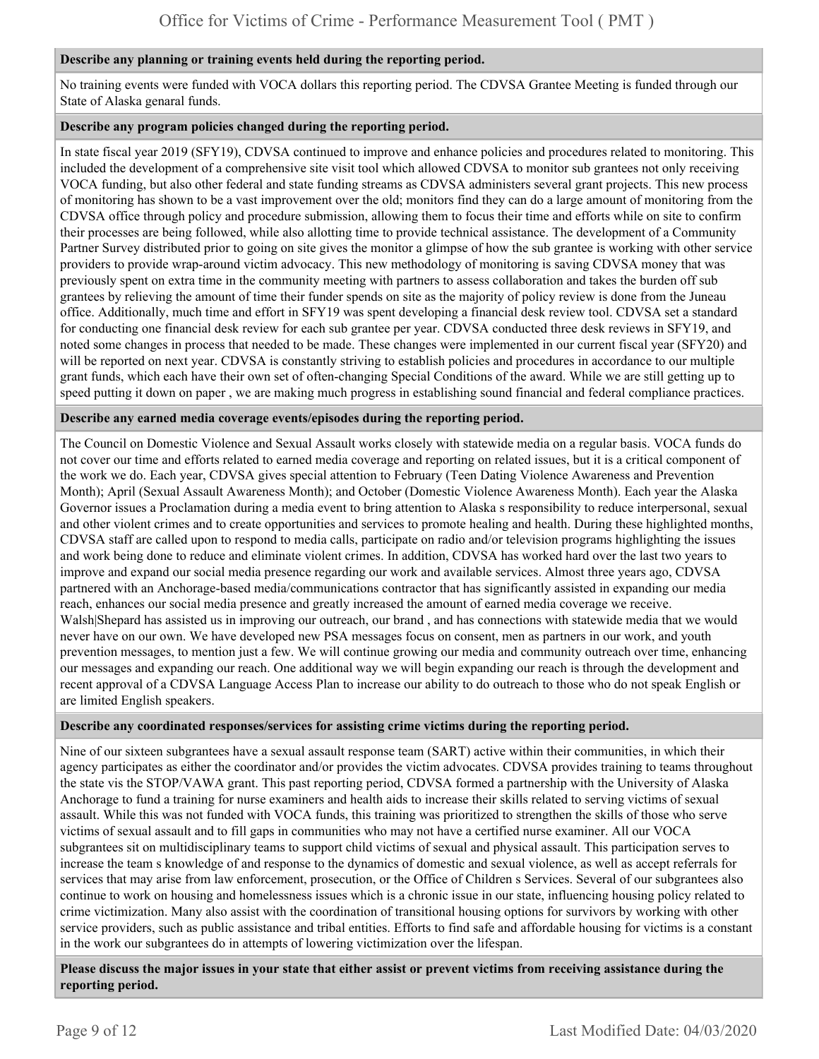#### **Describe any planning or training events held during the reporting period.**

No training events were funded with VOCA dollars this reporting period. The CDVSA Grantee Meeting is funded through our State of Alaska genaral funds.

#### **Describe any program policies changed during the reporting period.**

In state fiscal year 2019 (SFY19), CDVSA continued to improve and enhance policies and procedures related to monitoring. This included the development of a comprehensive site visit tool which allowed CDVSA to monitor sub grantees not only receiving VOCA funding, but also other federal and state funding streams as CDVSA administers several grant projects. This new process of monitoring has shown to be a vast improvement over the old; monitors find they can do a large amount of monitoring from the CDVSA office through policy and procedure submission, allowing them to focus their time and efforts while on site to confirm their processes are being followed, while also allotting time to provide technical assistance. The development of a Community Partner Survey distributed prior to going on site gives the monitor a glimpse of how the sub grantee is working with other service providers to provide wrap-around victim advocacy. This new methodology of monitoring is saving CDVSA money that was previously spent on extra time in the community meeting with partners to assess collaboration and takes the burden off sub grantees by relieving the amount of time their funder spends on site as the majority of policy review is done from the Juneau office. Additionally, much time and effort in SFY19 was spent developing a financial desk review tool. CDVSA set a standard for conducting one financial desk review for each sub grantee per year. CDVSA conducted three desk reviews in SFY19, and noted some changes in process that needed to be made. These changes were implemented in our current fiscal year (SFY20) and will be reported on next year. CDVSA is constantly striving to establish policies and procedures in accordance to our multiple grant funds, which each have their own set of often-changing Special Conditions of the award. While we are still getting up to speed putting it down on paper , we are making much progress in establishing sound financial and federal compliance practices.

#### **Describe any earned media coverage events/episodes during the reporting period.**

The Council on Domestic Violence and Sexual Assault works closely with statewide media on a regular basis. VOCA funds do not cover our time and efforts related to earned media coverage and reporting on related issues, but it is a critical component of the work we do. Each year, CDVSA gives special attention to February (Teen Dating Violence Awareness and Prevention Month); April (Sexual Assault Awareness Month); and October (Domestic Violence Awareness Month). Each year the Alaska Governor issues a Proclamation during a media event to bring attention to Alaska s responsibility to reduce interpersonal, sexual and other violent crimes and to create opportunities and services to promote healing and health. During these highlighted months, CDVSA staff are called upon to respond to media calls, participate on radio and/or television programs highlighting the issues and work being done to reduce and eliminate violent crimes. In addition, CDVSA has worked hard over the last two years to improve and expand our social media presence regarding our work and available services. Almost three years ago, CDVSA partnered with an Anchorage-based media/communications contractor that has significantly assisted in expanding our media reach, enhances our social media presence and greatly increased the amount of earned media coverage we receive. Walsh|Shepard has assisted us in improving our outreach, our brand , and has connections with statewide media that we would never have on our own. We have developed new PSA messages focus on consent, men as partners in our work, and youth prevention messages, to mention just a few. We will continue growing our media and community outreach over time, enhancing our messages and expanding our reach. One additional way we will begin expanding our reach is through the development and recent approval of a CDVSA Language Access Plan to increase our ability to do outreach to those who do not speak English or are limited English speakers.

#### **Describe any coordinated responses/services for assisting crime victims during the reporting period.**

Nine of our sixteen subgrantees have a sexual assault response team (SART) active within their communities, in which their agency participates as either the coordinator and/or provides the victim advocates. CDVSA provides training to teams throughout the state vis the STOP/VAWA grant. This past reporting period, CDVSA formed a partnership with the University of Alaska Anchorage to fund a training for nurse examiners and health aids to increase their skills related to serving victims of sexual assault. While this was not funded with VOCA funds, this training was prioritized to strengthen the skills of those who serve victims of sexual assault and to fill gaps in communities who may not have a certified nurse examiner. All our VOCA subgrantees sit on multidisciplinary teams to support child victims of sexual and physical assault. This participation serves to increase the team s knowledge of and response to the dynamics of domestic and sexual violence, as well as accept referrals for services that may arise from law enforcement, prosecution, or the Office of Children s Services. Several of our subgrantees also continue to work on housing and homelessness issues which is a chronic issue in our state, influencing housing policy related to crime victimization. Many also assist with the coordination of transitional housing options for survivors by working with other service providers, such as public assistance and tribal entities. Efforts to find safe and affordable housing for victims is a constant in the work our subgrantees do in attempts of lowering victimization over the lifespan.

#### **Please discuss the major issues in your state that either assist or prevent victims from receiving assistance during the reporting period.**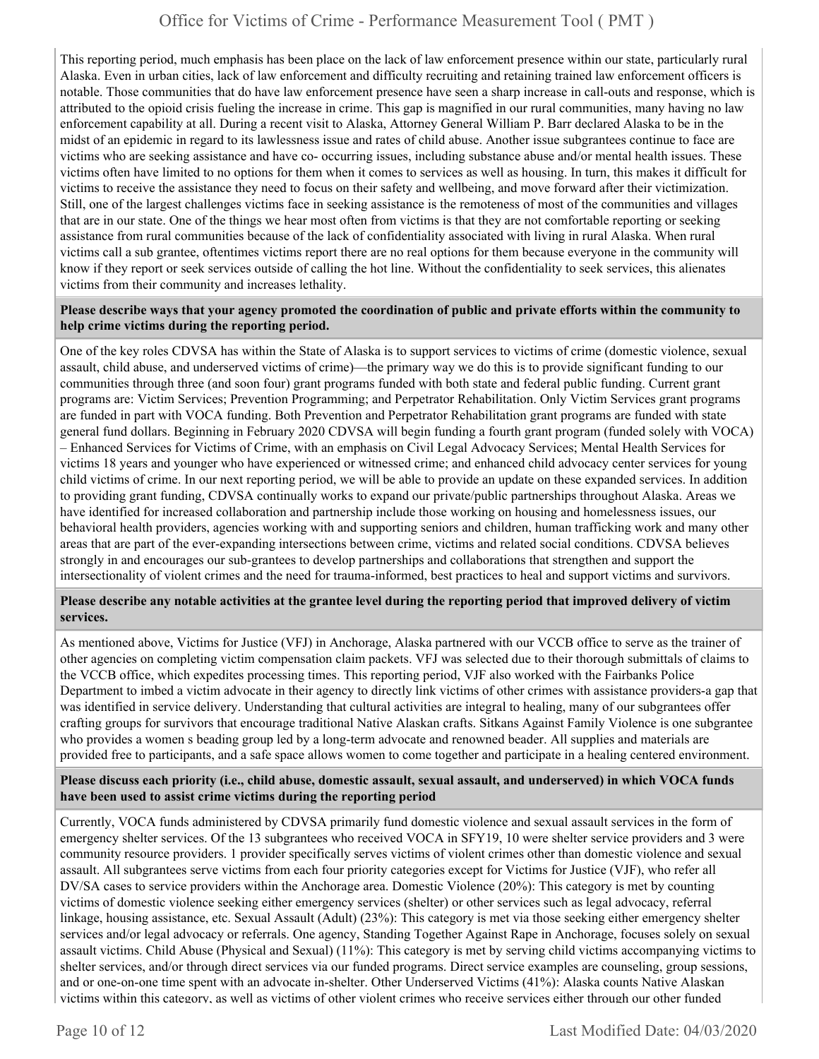This reporting period, much emphasis has been place on the lack of law enforcement presence within our state, particularly rural Alaska. Even in urban cities, lack of law enforcement and difficulty recruiting and retaining trained law enforcement officers is notable. Those communities that do have law enforcement presence have seen a sharp increase in call-outs and response, which is attributed to the opioid crisis fueling the increase in crime. This gap is magnified in our rural communities, many having no law enforcement capability at all. During a recent visit to Alaska, Attorney General William P. Barr declared Alaska to be in the midst of an epidemic in regard to its lawlessness issue and rates of child abuse. Another issue subgrantees continue to face are victims who are seeking assistance and have co- occurring issues, including substance abuse and/or mental health issues. These victims often have limited to no options for them when it comes to services as well as housing. In turn, this makes it difficult for victims to receive the assistance they need to focus on their safety and wellbeing, and move forward after their victimization. Still, one of the largest challenges victims face in seeking assistance is the remoteness of most of the communities and villages that are in our state. One of the things we hear most often from victims is that they are not comfortable reporting or seeking assistance from rural communities because of the lack of confidentiality associated with living in rural Alaska. When rural victims call a sub grantee, oftentimes victims report there are no real options for them because everyone in the community will know if they report or seek services outside of calling the hot line. Without the confidentiality to seek services, this alienates victims from their community and increases lethality.

#### **Please describe ways that your agency promoted the coordination of public and private efforts within the community to help crime victims during the reporting period.**

One of the key roles CDVSA has within the State of Alaska is to support services to victims of crime (domestic violence, sexual assault, child abuse, and underserved victims of crime)—the primary way we do this is to provide significant funding to our communities through three (and soon four) grant programs funded with both state and federal public funding. Current grant programs are: Victim Services; Prevention Programming; and Perpetrator Rehabilitation. Only Victim Services grant programs are funded in part with VOCA funding. Both Prevention and Perpetrator Rehabilitation grant programs are funded with state general fund dollars. Beginning in February 2020 CDVSA will begin funding a fourth grant program (funded solely with VOCA) – Enhanced Services for Victims of Crime, with an emphasis on Civil Legal Advocacy Services; Mental Health Services for victims 18 years and younger who have experienced or witnessed crime; and enhanced child advocacy center services for young child victims of crime. In our next reporting period, we will be able to provide an update on these expanded services. In addition to providing grant funding, CDVSA continually works to expand our private/public partnerships throughout Alaska. Areas we have identified for increased collaboration and partnership include those working on housing and homelessness issues, our behavioral health providers, agencies working with and supporting seniors and children, human trafficking work and many other areas that are part of the ever-expanding intersections between crime, victims and related social conditions. CDVSA believes strongly in and encourages our sub-grantees to develop partnerships and collaborations that strengthen and support the intersectionality of violent crimes and the need for trauma-informed, best practices to heal and support victims and survivors.

#### **Please describe any notable activities at the grantee level during the reporting period that improved delivery of victim services.**

As mentioned above, Victims for Justice (VFJ) in Anchorage, Alaska partnered with our VCCB office to serve as the trainer of other agencies on completing victim compensation claim packets. VFJ was selected due to their thorough submittals of claims to the VCCB office, which expedites processing times. This reporting period, VJF also worked with the Fairbanks Police Department to imbed a victim advocate in their agency to directly link victims of other crimes with assistance providers-a gap that was identified in service delivery. Understanding that cultural activities are integral to healing, many of our subgrantees offer crafting groups for survivors that encourage traditional Native Alaskan crafts. Sitkans Against Family Violence is one subgrantee who provides a women s beading group led by a long-term advocate and renowned beader. All supplies and materials are provided free to participants, and a safe space allows women to come together and participate in a healing centered environment.

#### **Please discuss each priority (i.e., child abuse, domestic assault, sexual assault, and underserved) in which VOCA funds have been used to assist crime victims during the reporting period**

Currently, VOCA funds administered by CDVSA primarily fund domestic violence and sexual assault services in the form of emergency shelter services. Of the 13 subgrantees who received VOCA in SFY19, 10 were shelter service providers and 3 were community resource providers. 1 provider specifically serves victims of violent crimes other than domestic violence and sexual assault. All subgrantees serve victims from each four priority categories except for Victims for Justice (VJF), who refer all DV/SA cases to service providers within the Anchorage area. Domestic Violence (20%): This category is met by counting victims of domestic violence seeking either emergency services (shelter) or other services such as legal advocacy, referral linkage, housing assistance, etc. Sexual Assault (Adult) (23%): This category is met via those seeking either emergency shelter services and/or legal advocacy or referrals. One agency, Standing Together Against Rape in Anchorage, focuses solely on sexual assault victims. Child Abuse (Physical and Sexual) (11%): This category is met by serving child victims accompanying victims to shelter services, and/or through direct services via our funded programs. Direct service examples are counseling, group sessions, and or one-on-one time spent with an advocate in-shelter. Other Underserved Victims (41%): Alaska counts Native Alaskan victims within this category, as well as victims of other violent crimes who receive services either through our other funded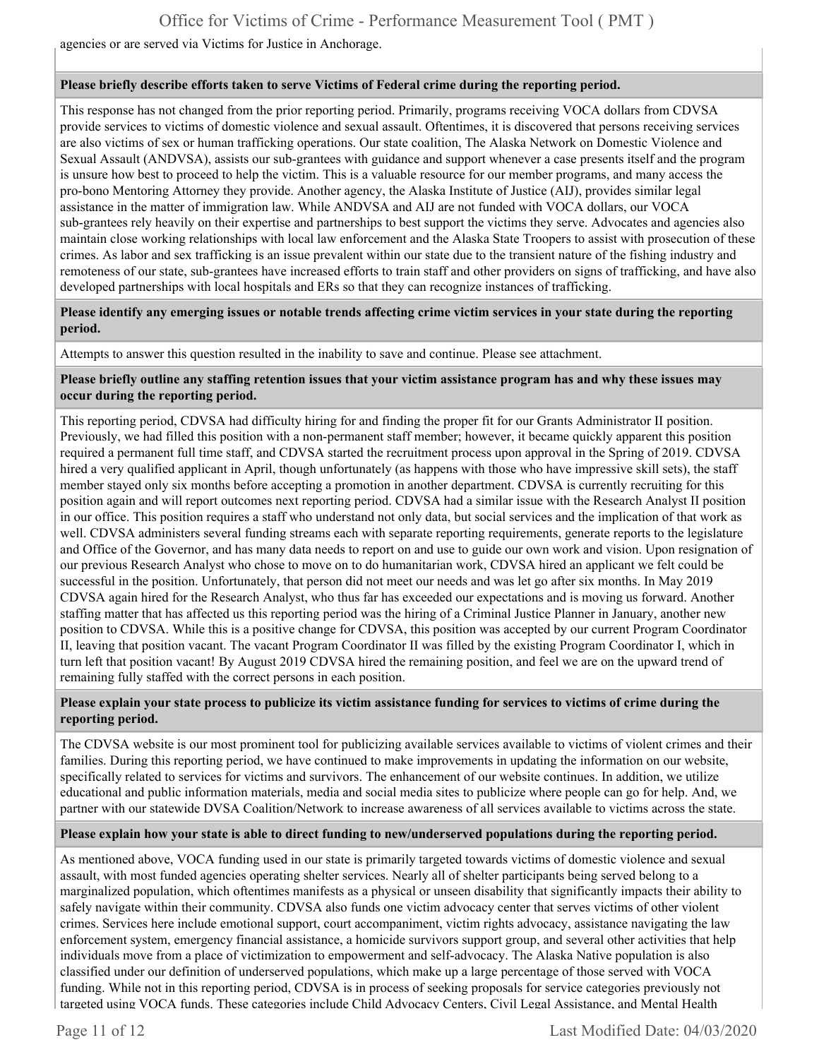agencies or are served via Victims for Justice in Anchorage.

#### **Please briefly describe efforts taken to serve Victims of Federal crime during the reporting period.**

This response has not changed from the prior reporting period. Primarily, programs receiving VOCA dollars from CDVSA provide services to victims of domestic violence and sexual assault. Oftentimes, it is discovered that persons receiving services are also victims of sex or human trafficking operations. Our state coalition, The Alaska Network on Domestic Violence and Sexual Assault (ANDVSA), assists our sub-grantees with guidance and support whenever a case presents itself and the program is unsure how best to proceed to help the victim. This is a valuable resource for our member programs, and many access the pro-bono Mentoring Attorney they provide. Another agency, the Alaska Institute of Justice (AIJ), provides similar legal assistance in the matter of immigration law. While ANDVSA and AIJ are not funded with VOCA dollars, our VOCA sub-grantees rely heavily on their expertise and partnerships to best support the victims they serve. Advocates and agencies also maintain close working relationships with local law enforcement and the Alaska State Troopers to assist with prosecution of these crimes. As labor and sex trafficking is an issue prevalent within our state due to the transient nature of the fishing industry and remoteness of our state, sub-grantees have increased efforts to train staff and other providers on signs of trafficking, and have also developed partnerships with local hospitals and ERs so that they can recognize instances of trafficking.

#### **Please identify any emerging issues or notable trends affecting crime victim services in your state during the reporting period.**

Attempts to answer this question resulted in the inability to save and continue. Please see attachment.

#### **Please briefly outline any staffing retention issues that your victim assistance program has and why these issues may occur during the reporting period.**

This reporting period, CDVSA had difficulty hiring for and finding the proper fit for our Grants Administrator II position. Previously, we had filled this position with a non-permanent staff member; however, it became quickly apparent this position required a permanent full time staff, and CDVSA started the recruitment process upon approval in the Spring of 2019. CDVSA hired a very qualified applicant in April, though unfortunately (as happens with those who have impressive skill sets), the staff member stayed only six months before accepting a promotion in another department. CDVSA is currently recruiting for this position again and will report outcomes next reporting period. CDVSA had a similar issue with the Research Analyst II position in our office. This position requires a staff who understand not only data, but social services and the implication of that work as well. CDVSA administers several funding streams each with separate reporting requirements, generate reports to the legislature and Office of the Governor, and has many data needs to report on and use to guide our own work and vision. Upon resignation of our previous Research Analyst who chose to move on to do humanitarian work, CDVSA hired an applicant we felt could be successful in the position. Unfortunately, that person did not meet our needs and was let go after six months. In May 2019 CDVSA again hired for the Research Analyst, who thus far has exceeded our expectations and is moving us forward. Another staffing matter that has affected us this reporting period was the hiring of a Criminal Justice Planner in January, another new position to CDVSA. While this is a positive change for CDVSA, this position was accepted by our current Program Coordinator II, leaving that position vacant. The vacant Program Coordinator II was filled by the existing Program Coordinator I, which in turn left that position vacant! By August 2019 CDVSA hired the remaining position, and feel we are on the upward trend of remaining fully staffed with the correct persons in each position.

#### **Please explain your state process to publicize its victim assistance funding for services to victims of crime during the reporting period.**

The CDVSA website is our most prominent tool for publicizing available services available to victims of violent crimes and their families. During this reporting period, we have continued to make improvements in updating the information on our website, specifically related to services for victims and survivors. The enhancement of our website continues. In addition, we utilize educational and public information materials, media and social media sites to publicize where people can go for help. And, we partner with our statewide DVSA Coalition/Network to increase awareness of all services available to victims across the state.

#### **Please explain how your state is able to direct funding to new/underserved populations during the reporting period.**

As mentioned above, VOCA funding used in our state is primarily targeted towards victims of domestic violence and sexual assault, with most funded agencies operating shelter services. Nearly all of shelter participants being served belong to a marginalized population, which oftentimes manifests as a physical or unseen disability that significantly impacts their ability to safely navigate within their community. CDVSA also funds one victim advocacy center that serves victims of other violent crimes. Services here include emotional support, court accompaniment, victim rights advocacy, assistance navigating the law enforcement system, emergency financial assistance, a homicide survivors support group, and several other activities that help individuals move from a place of victimization to empowerment and self-advocacy. The Alaska Native population is also classified under our definition of underserved populations, which make up a large percentage of those served with VOCA funding. While not in this reporting period, CDVSA is in process of seeking proposals for service categories previously not targeted using VOCA funds. These categories include Child Advocacy Centers, Civil Legal Assistance, and Mental Health